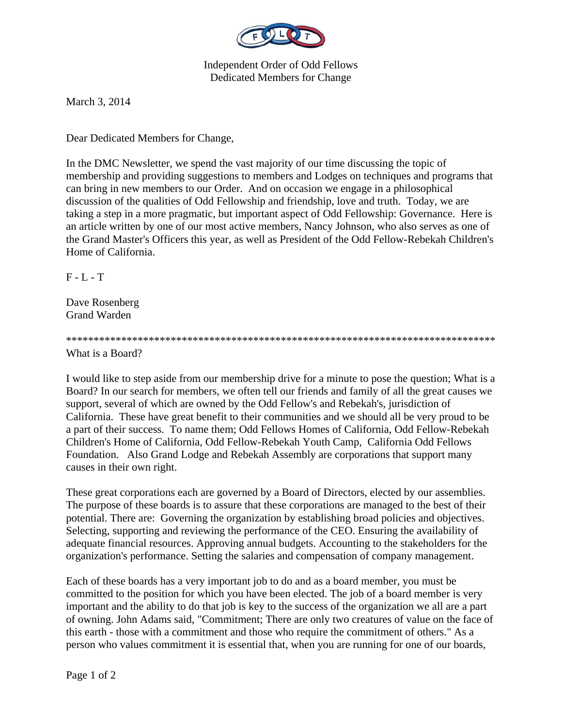

Independent Order of Odd Fellows Dedicated Members for Change

March 3, 2014

Dear Dedicated Members for Change,

In the DMC Newsletter, we spend the vast majority of our time discussing the topic of membership and providing suggestions to members and Lodges on techniques and programs that can bring in new members to our Order. And on occasion we engage in a philosophical discussion of the qualities of Odd Fellowship and friendship, love and truth. Today, we are taking a step in a more pragmatic, but important aspect of Odd Fellowship: Governance. Here is an article written by one of our most active members, Nancy Johnson, who also serves as one of the Grand Master's Officers this year, as well as President of the Odd Fellow-Rebekah Children's Home of California.

 $F - L - T$ 

Dave Rosenberg Grand Warden

## \*\*\*\*\*\*\*\*\*\*\*\*\*\*\*\*\*\*\*\*\*\*\*\*\*\*\*\*\*\*\*\*\*\*\*\*\*\*\*\*\*\*\*\*\*\*\*\*\*\*\*\*\*\*\*\*\*\*\*\*\*\*\*\*\*\*\*\*\*\*\*\*\*\*\*\*\*\*

What is a Board?

I would like to step aside from our membership drive for a minute to pose the question; What is a Board? In our search for members, we often tell our friends and family of all the great causes we support, several of which are owned by the Odd Fellow's and Rebekah's, jurisdiction of California. These have great benefit to their communities and we should all be very proud to be a part of their success. To name them; Odd Fellows Homes of California, Odd Fellow-Rebekah Children's Home of California, Odd Fellow-Rebekah Youth Camp, California Odd Fellows Foundation. Also Grand Lodge and Rebekah Assembly are corporations that support many causes in their own right.

These great corporations each are governed by a Board of Directors, elected by our assemblies. The purpose of these boards is to assure that these corporations are managed to the best of their potential. There are: Governing the organization by establishing broad policies and objectives. Selecting, supporting and reviewing the performance of the CEO. Ensuring the availability of adequate financial resources. Approving annual budgets. Accounting to the stakeholders for the organization's performance. Setting the salaries and compensation of company management.

Each of these boards has a very important job to do and as a board member, you must be committed to the position for which you have been elected. The job of a board member is very important and the ability to do that job is key to the success of the organization we all are a part of owning. John Adams said, "Commitment; There are only two creatures of value on the face of this earth - those with a commitment and those who require the commitment of others." As a person who values commitment it is essential that, when you are running for one of our boards,